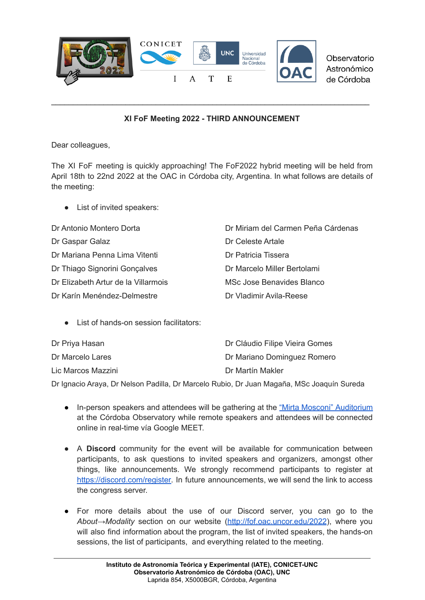

Observatorio Astronómico de Córdoba

## **XI FoF Meeting 2022 - THIRD ANNOUNCEMENT**

\_\_\_\_\_\_\_\_\_\_\_\_\_\_\_\_\_\_\_\_\_\_\_\_\_\_\_\_\_\_\_\_\_\_\_\_\_\_\_\_\_\_\_\_\_\_\_\_\_\_\_\_\_\_\_\_\_\_\_\_\_\_\_\_\_\_\_\_\_\_\_\_\_

Dear colleagues,

The XI FoF meeting is quickly approaching! The FoF2022 hybrid meeting will be held from April 18th to 22nd 2022 at the OAC in Córdoba city, Argentina. In what follows are details of the meeting:

● List of invited speakers:

| Dr Antonio Montero Dorta            | Dr Miriam del Carmen Peña Cárdenas |
|-------------------------------------|------------------------------------|
| Dr Gaspar Galaz                     | Dr Celeste Artale                  |
| Dr Mariana Penna Lima Vitenti       | Dr Patricia Tissera                |
| Dr Thiago Signorini Gonçalves       | Dr Marcelo Miller Bertolami        |
| Dr Elizabeth Artur de la Villarmois | MSc Jose Benavides Blanco          |
| Dr Karín Menéndez-Delmestre         | Dr Vladimir Avila-Reese            |

● List of hands-on session facilitators:

| Dr Priya Hasan     | Dr Cláudio Filipe Vieira Gomes |
|--------------------|--------------------------------|
| Dr Marcelo Lares   | Dr Mariano Dominguez Romero    |
| Lic Marcos Mazzini | Dr Martín Makler               |

Dr Ignacio Araya, Dr Nelson Padilla, Dr Marcelo Rubio, Dr Juan Magaña, MSc Joaquín Sureda

- In-person speakers and attendees will be gathering at the "Mirta Mosconi" [Auditorium](https://goo.gl/maps/ebVe7f6sSyvfLwL56) at the Córdoba Observatory while remote speakers and attendees will be connected online in real-time vía Google MEET.
- A **Discord** community for the event will be available for communication between participants, to ask questions to invited speakers and organizers, amongst other things, like announcements. We strongly recommend participants to register at [https://discord.com/register.](https://discord.com/register) In future announcements, we will send the link to access the congress server.
- For more details about the use of our Discord server, you can go to the *About→Modality* section on our website [\(http://fof.oac.uncor.edu/2022](http://fof.oac.uncor.edu/2022)), where you will also find information about the program, the list of invited speakers, the hands-on sessions, the list of participants, and everything related to the meeting.